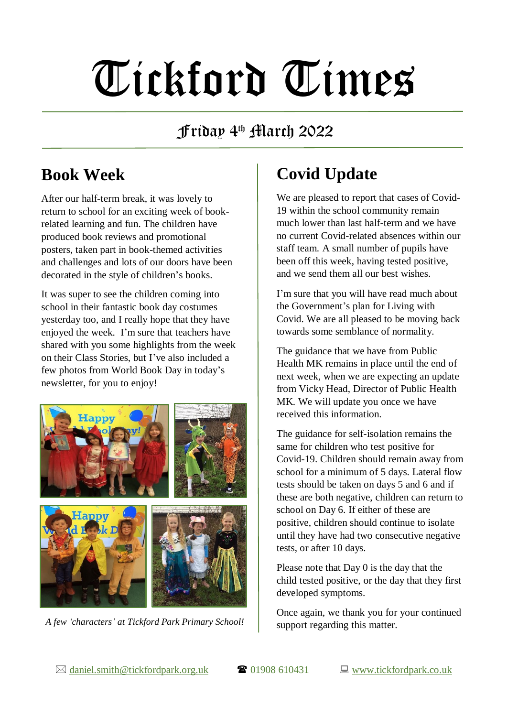# Tickford Times

#### Friday 4 th March 2022

# **Book Week**

After our half-term break, it was lovely to return to school for an exciting week of bookrelated learning and fun. The children have produced book reviews and promotional posters, taken part in book-themed activities and challenges and lots of our doors have been decorated in the style of children's books.

It was super to see the children coming into school in their fantastic book day costumes yesterday too, and I really hope that they have enjoyed the week. I'm sure that teachers have shared with you some highlights from the week on their Class Stories, but I've also included a few photos from World Book Day in today's newsletter, for you to enjoy!



*A few 'characters' at Tickford Park Primary School!*

# **Covid Update**

We are pleased to report that cases of Covid-19 within the school community remain much lower than last half-term and we have no current Covid-related absences within our staff team. A small number of pupils have been off this week, having tested positive, and we send them all our best wishes.

I'm sure that you will have read much about the Government's plan for Living with Covid. We are all pleased to be moving back towards some semblance of normality.

The guidance that we have from Public Health MK remains in place until the end of next week, when we are expecting an update from Vicky Head, Director of Public Health MK. We will update you once we have received this information.

The guidance for self-isolation remains the same for children who test positive for Covid-19. Children should remain away from school for a minimum of 5 days. Lateral flow tests should be taken on days 5 and 6 and if these are both negative, children can return to school on Day 6. If either of these are positive, children should continue to isolate until they have had two consecutive negative tests, or after 10 days.

Please note that Day 0 is the day that the child tested positive, or the day that they first developed symptoms.

Once again, we thank you for your continued support regarding this matter.